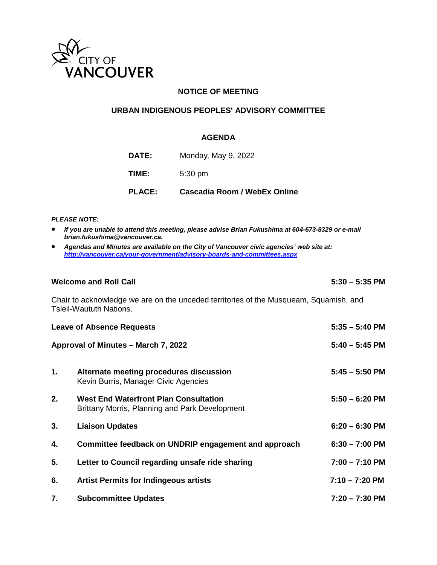

## **NOTICE OF MEETING**

## **URBAN INDIGENOUS PEOPLES' ADVISORY COMMITTEE**

#### **AGENDA**

| <b>PLACE:</b> | <b>Cascadia Room / WebEx Online</b> |
|---------------|-------------------------------------|
| TIME:         | $5:30 \text{ pm}$                   |
| <b>DATE:</b>  | Monday, May 9, 2022                 |

#### *PLEASE NOTE:*

- *If you are unable to attend this meeting, please advise Brian Fukushima at 604-673-8329 or e-mail brian.fukushima@vancouver.ca.*
- *Agendas and Minutes are available on the City of Vancouver civic agencies' web site at: <http://vancouver.ca/your-government/advisory-boards-and-committees.aspx>*

### **Welcome and Roll Call 5:30 – 5:35 PM**

Chair to acknowledge we are on the unceded territories of the Musqueam, Squamish, and Tsleil-Waututh Nations.

|    | <b>Leave of Absence Requests</b>                                                               | $5:35 - 5:40$ PM |  |
|----|------------------------------------------------------------------------------------------------|------------------|--|
|    | Approval of Minutes - March 7, 2022                                                            | $5:40 - 5:45$ PM |  |
| 1. | Alternate meeting procedures discussion<br>Kevin Burris, Manager Civic Agencies                | $5:45 - 5:50$ PM |  |
| 2. | <b>West End Waterfront Plan Consultation</b><br>Brittany Morris, Planning and Park Development | $5:50 - 6:20$ PM |  |
| 3. | <b>Liaison Updates</b>                                                                         | $6:20 - 6:30$ PM |  |
| 4. | Committee feedback on UNDRIP engagement and approach                                           | $6:30 - 7:00$ PM |  |
| 5. | Letter to Council regarding unsafe ride sharing                                                | $7:00 - 7:10$ PM |  |
| 6. | <b>Artist Permits for Indingeous artists</b>                                                   | $7:10 - 7:20$ PM |  |
| 7. | <b>Subcommittee Updates</b>                                                                    | $7:20 - 7:30$ PM |  |